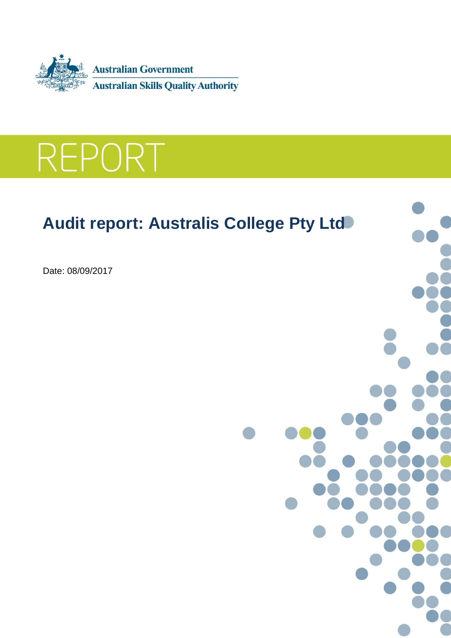



# **Audit report: Australis College Pty Ltd**

Date: 08/09/2017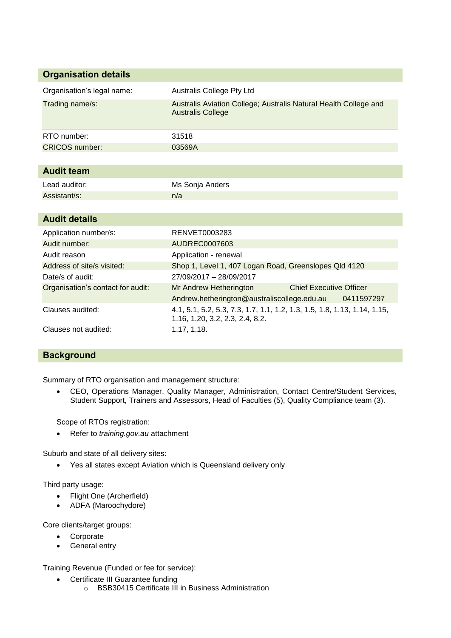| <b>Organisation details</b>       |                                                                                                             |
|-----------------------------------|-------------------------------------------------------------------------------------------------------------|
| Organisation's legal name:        | <b>Australis College Pty Ltd</b>                                                                            |
| Trading name/s:                   | Australis Aviation College; Australis Natural Health College and<br><b>Australis College</b>                |
| RTO number:                       | 31518                                                                                                       |
| <b>CRICOS</b> number:             | 03569A                                                                                                      |
|                                   |                                                                                                             |
| <b>Audit team</b>                 |                                                                                                             |
| Lead auditor:                     | Ms Sonja Anders                                                                                             |
| Assistant/s:                      | n/a                                                                                                         |
|                                   |                                                                                                             |
| <b>Audit details</b>              |                                                                                                             |
| Application number/s:             | RENVET0003283                                                                                               |
| Audit number:                     | AUDREC0007603                                                                                               |
| Audit reason                      | Application - renewal                                                                                       |
| Address of site/s visited:        | Shop 1, Level 1, 407 Logan Road, Greenslopes Qld 4120                                                       |
| Date/s of audit:                  | 27/09/2017 - 28/09/2017                                                                                     |
| Organisation's contact for audit: | <b>Chief Executive Officer</b><br>Mr Andrew Hetherington                                                    |
|                                   | Andrew.hetherington@australiscollege.edu.au<br>0411597297                                                   |
| Clauses audited:                  | 4.1, 5.1, 5.2, 5.3, 7.3, 1.7, 1.1, 1.2, 1.3, 1.5, 1.8, 1.13, 1.14, 1.15,<br>1.16, 1.20, 3.2, 2.3, 2.4, 8.2. |
| Clauses not audited:              | 1.17, 1.18.                                                                                                 |

# **Background**

Summary of RTO organisation and management structure:

 CEO, Operations Manager, Quality Manager, Administration, Contact Centre/Student Services, Student Support, Trainers and Assessors, Head of Faculties (5), Quality Compliance team (3).

Scope of RTOs registration:

Refer to *training.gov.au* attachment

Suburb and state of all delivery sites:

Yes all states except Aviation which is Queensland delivery only

Third party usage:

- Flight One (Archerfield)
- ADFA (Maroochydore)

Core clients/target groups:

- Corporate
- General entry

Training Revenue (Funded or fee for service):

- Certificate III Guarantee funding
	- o BSB30415 Certificate III in Business Administration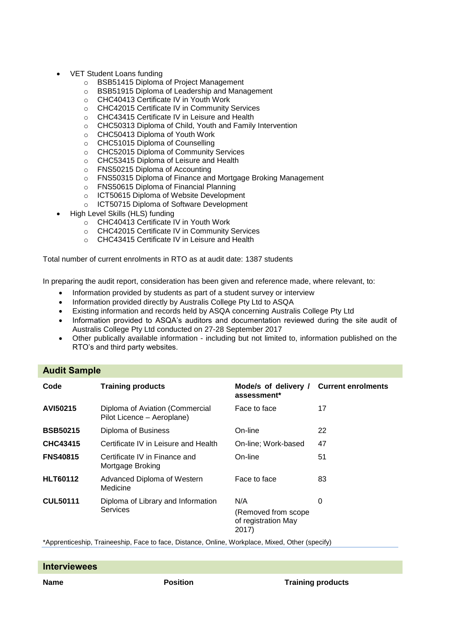- VET Student Loans funding
	- o BSB51415 Diploma of Project Management
	- o BSB51915 Diploma of Leadership and Management
	- o CHC40413 Certificate IV in Youth Work
	- o CHC42015 Certificate IV in Community Services
	- o CHC43415 Certificate IV in Leisure and Health
	- o CHC50313 Diploma of Child, Youth and Family Intervention
	- o CHC50413 Diploma of Youth Work
	- o CHC51015 Diploma of Counselling
	- o CHC52015 Diploma of Community Services
	- o CHC53415 Diploma of Leisure and Health
	- o FNS50215 Diploma of Accounting
	- o FNS50315 Diploma of Finance and Mortgage Broking Management
	- o FNS50615 Diploma of Financial Planning
	- o ICT50615 Diploma of Website Development
	- o ICT50715 Diploma of Software Development
- High Level Skills (HLS) funding
	- o CHC40413 Certificate IV in Youth Work
	- o CHC42015 Certificate IV in Community Services
	- o CHC43415 Certificate IV in Leisure and Health

Total number of current enrolments in RTO as at audit date: 1387 students

In preparing the audit report, consideration has been given and reference made, where relevant, to:

- Information provided by students as part of a student survey or interview
- Information provided directly by Australis College Pty Ltd to ASQA
- Existing information and records held by ASQA concerning Australis College Pty Ltd
- Information provided to ASQA's auditors and documentation reviewed during the site audit of Australis College Pty Ltd conducted on 27-28 September 2017
- Other publically available information including but not limited to, information published on the RTO's and third party websites.

# **Audit Sample**

| Code            | <b>Training products</b>                                      | Mode/s of delivery /<br>assessment*                        | <b>Current enrolments</b> |
|-----------------|---------------------------------------------------------------|------------------------------------------------------------|---------------------------|
| AVI50215        | Diploma of Aviation (Commercial<br>Pilot Licence – Aeroplane) | Face to face                                               | 17                        |
| <b>BSB50215</b> | Diploma of Business                                           | On-line                                                    | 22                        |
| <b>CHC43415</b> | Certificate IV in Leisure and Health                          | On-line; Work-based                                        | 47                        |
| <b>FNS40815</b> | Certificate IV in Finance and<br>Mortgage Broking             | On-line                                                    | 51                        |
| <b>HLT60112</b> | Advanced Diploma of Western<br>Medicine                       | Face to face                                               | 83                        |
| <b>CUL50111</b> | Diploma of Library and Information<br>Services                | N/A<br>(Removed from scope<br>of registration May<br>2017) | 0                         |

\*Apprenticeship, Traineeship, Face to face, Distance, Online, Workplace, Mixed, Other (specify)

| <b>Interviewees</b> |                 |                          |
|---------------------|-----------------|--------------------------|
| Name                | <b>Position</b> | <b>Training products</b> |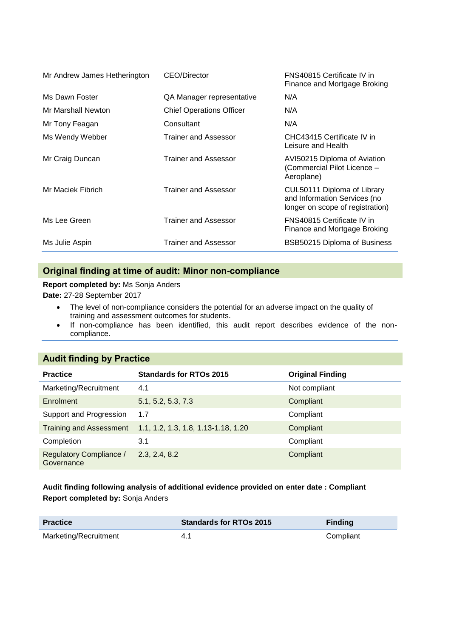| Mr Andrew James Hetherington | CEO/Director                    | FNS40815 Certificate IV in<br>Finance and Mortgage Broking                                      |
|------------------------------|---------------------------------|-------------------------------------------------------------------------------------------------|
| Ms Dawn Foster               | QA Manager representative       | N/A                                                                                             |
| Mr Marshall Newton           | <b>Chief Operations Officer</b> | N/A                                                                                             |
| Mr Tony Feagan               | Consultant                      | N/A                                                                                             |
| Ms Wendy Webber              | <b>Trainer and Assessor</b>     | CHC43415 Certificate IV in<br>Leisure and Health                                                |
| Mr Craig Duncan              | Trainer and Assessor            | AVI50215 Diploma of Aviation<br>(Commercial Pilot Licence -<br>Aeroplane)                       |
| Mr Maciek Fibrich            | Trainer and Assessor            | CUL50111 Diploma of Library<br>and Information Services (no<br>longer on scope of registration) |
| Ms Lee Green                 | <b>Trainer and Assessor</b>     | FNS40815 Certificate IV in<br>Finance and Mortgage Broking                                      |
| Ms Julie Aspin               | Trainer and Assessor            | BSB50215 Diploma of Business                                                                    |

# **Original finding at time of audit: Minor non-compliance**

**Report completed by:** Ms Sonja Anders

**Date:** 27-28 September 2017

- The level of non-compliance considers the potential for an adverse impact on the quality of training and assessment outcomes for students.
- If non-compliance has been identified, this audit report describes evidence of the noncompliance.

# **Audit finding by Practice**

| <b>Practice</b>                              | <b>Standards for RTOs 2015</b>      | <b>Original Finding</b> |
|----------------------------------------------|-------------------------------------|-------------------------|
| Marketing/Recruitment                        | 4.1                                 | Not compliant           |
| Enrolment                                    | 5.1, 5.2, 5.3, 7.3                  | Compliant               |
| Support and Progression                      | 1.7                                 | Compliant               |
| <b>Training and Assessment</b>               | 1.1, 1.2, 1.3, 1.8, 1.13-1.18, 1.20 | Compliant               |
| Completion                                   | 3.1                                 | Compliant               |
| <b>Regulatory Compliance /</b><br>Governance | 2.3, 2.4, 8.2                       | Compliant               |

# **Audit finding following analysis of additional evidence provided on enter date : Compliant Report completed by:** Sonja Anders

| <b>Practice</b>       | <b>Standards for RTOs 2015</b> | <b>Finding</b> |
|-----------------------|--------------------------------|----------------|
| Marketing/Recruitment | 4.1                            | Compliant      |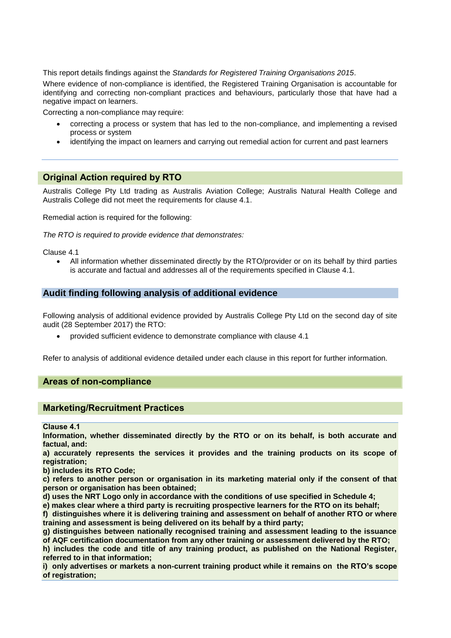This report details findings against the *Standards for Registered Training Organisations 2015*.

Where evidence of non-compliance is identified, the Registered Training Organisation is accountable for identifying and correcting non-compliant practices and behaviours, particularly those that have had a negative impact on learners.

Correcting a non-compliance may require:

- correcting a process or system that has led to the non-compliance, and implementing a revised process or system
- identifying the impact on learners and carrying out remedial action for current and past learners

# **Original Action required by RTO**

Australis College Pty Ltd trading as Australis Aviation College; Australis Natural Health College and Australis College did not meet the requirements for clause 4.1.

Remedial action is required for the following:

*The RTO is required to provide evidence that demonstrates:*

Clause 4.1

 All information whether disseminated directly by the RTO/provider or on its behalf by third parties is accurate and factual and addresses all of the requirements specified in Clause 4.1.

# **Audit finding following analysis of additional evidence**

Following analysis of additional evidence provided by Australis College Pty Ltd on the second day of site audit (28 September 2017) the RTO:

provided sufficient evidence to demonstrate compliance with clause 4.1

Refer to analysis of additional evidence detailed under each clause in this report for further information.

# **Areas of non-compliance**

# **Marketing/Recruitment Practices**

<span id="page-4-0"></span>**Clause 4.1**

**Information, whether disseminated directly by the RTO or on its behalf, is both accurate and factual, and:**

**a) accurately represents the services it provides and the training products on its scope of registration;**

**b) includes its RTO Code;**

**c) refers to another person or organisation in its marketing material only if the consent of that person or organisation has been obtained;** 

**d) uses the NRT Logo only in accordance with the conditions of use specified in Schedule 4;**

**e) makes clear where a third party is recruiting prospective learners for the RTO on its behalf;**

**f) distinguishes where it is delivering training and assessment on behalf of another RTO or where training and assessment is being delivered on its behalf by a third party;** 

**g) distinguishes between nationally recognised training and assessment leading to the issuance of AQF certification documentation from any other training or assessment delivered by the RTO;**

**h) includes the code and title of any training product, as published on the National Register, referred to in that information;**

**i) only advertises or markets a non-current training product while it remains on the RTO's scope of registration;**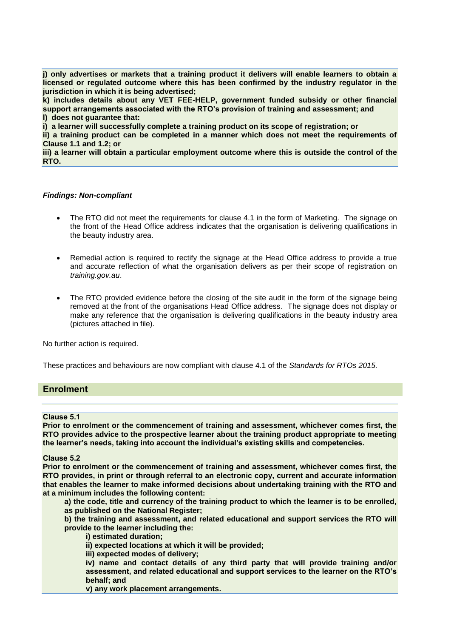**j) only advertises or markets that a training product it delivers will enable learners to obtain a licensed or regulated outcome where this has been confirmed by the industry regulator in the jurisdiction in which it is being advertised;** 

**k) includes details about any VET FEE-HELP, government funded subsidy or other financial support arrangements associated with the RTO's provision of training and assessment; and l) does not guarantee that:**

**i) a learner will successfully complete a training product on its scope of registration; or**

**ii) a training product can be completed in a manner which does not meet the requirements of [Clause 1.1](#page-4-0) and 1.2; or**

**iii) a learner will obtain a particular employment outcome where this is outside the control of the RTO.**

#### *Findings: Non-compliant*

- The RTO did not meet the requirements for clause 4.1 in the form of Marketing. The signage on the front of the Head Office address indicates that the organisation is delivering qualifications in the beauty industry area.
- Remedial action is required to rectify the signage at the Head Office address to provide a true and accurate reflection of what the organisation delivers as per their scope of registration on *training.gov.au*.
- The RTO provided evidence before the closing of the site audit in the form of the signage being removed at the front of the organisations Head Office address. The signage does not display or make any reference that the organisation is delivering qualifications in the beauty industry area (pictures attached in file).

No further action is required.

These practices and behaviours are now compliant with clause 4.1 of the *Standards for RTOs 2015.*

## **Enrolment**

#### **Clause 5.1**

**Prior to enrolment or the commencement of training and assessment, whichever comes first, the RTO provides advice to the prospective learner about the training product appropriate to meeting the learner's needs, taking into account the individual's existing skills and competencies.**

#### **Clause 5.2**

**Prior to enrolment or the commencement of training and assessment, whichever comes first, the RTO provides, in print or through referral to an electronic copy, current and accurate information that enables the learner to make informed decisions about undertaking training with the RTO and at a minimum includes the following content:** 

**a) the code, title and currency of the training product to which the learner is to be enrolled, as published on the National Register;**

**b) the training and assessment, and related educational and support services the RTO will provide to the learner including the:**

**i) estimated duration;** 

**ii) expected locations at which it will be provided;**

**iii) expected modes of delivery;** 

**iv) name and contact details of any third party that will provide training and/or assessment, and related educational and support services to the learner on the RTO's behalf; and**

**v) any work placement arrangements.**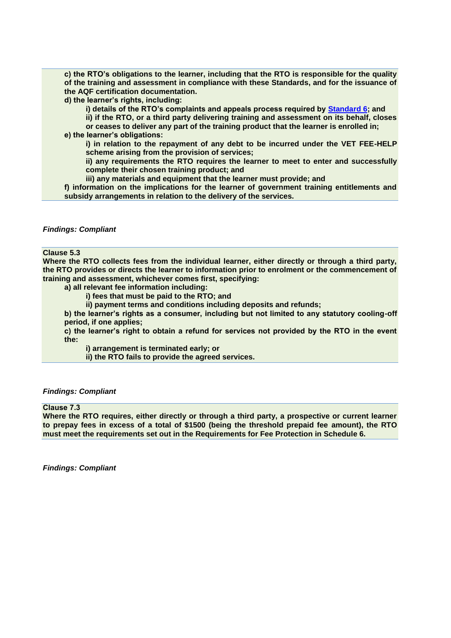**c) the RTO's obligations to the learner, including that the RTO is responsible for the quality of the training and assessment in compliance with these Standards, and for the issuance of the AQF certification documentation.**

**d) the learner's rights, including:**

**i) details of the RTO's complaints and appeals process required by Standard 6; and**

**ii) if the RTO, or a third party delivering training and assessment on its behalf, closes or ceases to deliver any part of the training product that the learner is enrolled in;** 

**e) the learner's obligations:**

**i) in relation to the repayment of any debt to be incurred under the VET FEE-HELP scheme arising from the provision of services;** 

**ii) any requirements the RTO requires the learner to meet to enter and successfully complete their chosen training product; and**

**iii) any materials and equipment that the learner must provide; and**

**f) information on the implications for the learner of government training entitlements and subsidy arrangements in relation to the delivery of the services.**

#### *Findings: Compliant*

## **Clause 5.3**

**Where the RTO collects fees from the individual learner, either directly or through a third party, the RTO provides or directs the learner to information prior to enrolment or the commencement of training and assessment, whichever comes first, specifying:** 

- **a) all relevant fee information including:**
	- **i) fees that must be paid to the RTO; and**

**ii) payment terms and conditions including deposits and refunds;** 

**b) the learner's rights as a consumer, including but not limited to any statutory cooling-off period, if one applies;** 

**c) the learner's right to obtain a refund for services not provided by the RTO in the event the:**

**i) arrangement is terminated early; or**

**ii) the RTO fails to provide the agreed services.**

#### *Findings: Compliant*

#### **Clause 7.3**

**Where the RTO requires, either directly or through a third party, a prospective or current learner to prepay fees in excess of a total of \$1500 (being the threshold prepaid fee amount), the RTO must meet the requirements set out in the Requirements for Fee Protection in Schedule 6.**

*Findings: Compliant*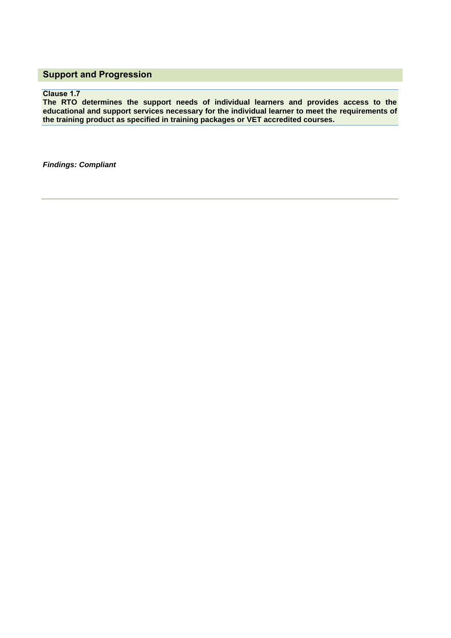# **Support and Progression**

# **Clause 1.7**

**The RTO determines the support needs of individual learners and provides access to the educational and support services necessary for the individual learner to meet the requirements of the training product as specified in training packages or VET accredited courses.**

*Findings: Compliant*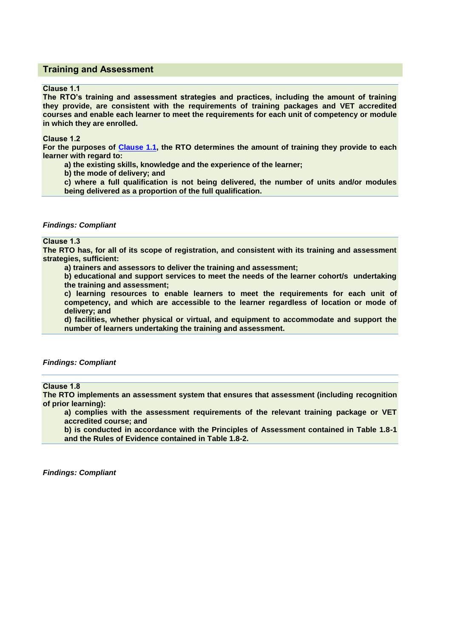# **Training and Assessment**

#### **Clause 1.1**

**The RTO's training and assessment strategies and practices, including the amount of training they provide, are consistent with the requirements of training packages and VET accredited courses and enable each learner to meet the requirements for each unit of competency or module in which they are enrolled.**

**Clause 1.2** 

**For the purposes of [Clause 1.1,](#page-4-0) the RTO determines the amount of training they provide to each learner with regard to:**

**a) the existing skills, knowledge and the experience of the learner;** 

**b) the mode of delivery; and**

**c) where a full qualification is not being delivered, the number of units and/or modules being delivered as a proportion of the full qualification.**

#### *Findings: Compliant*

## **Clause 1.3**

**The RTO has, for all of its scope of registration, and consistent with its training and assessment strategies, sufficient:**

**a) trainers and assessors to deliver the training and assessment;** 

**b) educational and support services to meet the needs of the learner cohort/s undertaking the training and assessment;**

**c) learning resources to enable learners to meet the requirements for each unit of competency, and which are accessible to the learner regardless of location or mode of delivery; and**

**d) facilities, whether physical or virtual, and equipment to accommodate and support the number of learners undertaking the training and assessment.**

## *Findings: Compliant*

# **Clause 1.8**

**The RTO implements an assessment system that ensures that assessment (including recognition of prior learning):**

**a) complies with the assessment requirements of the relevant training package or VET accredited course; and**

**b) is conducted in accordance with the Principles of Assessment contained in Table 1.8-1 and the Rules of Evidence contained in Table 1.8-2.**

*Findings: Compliant*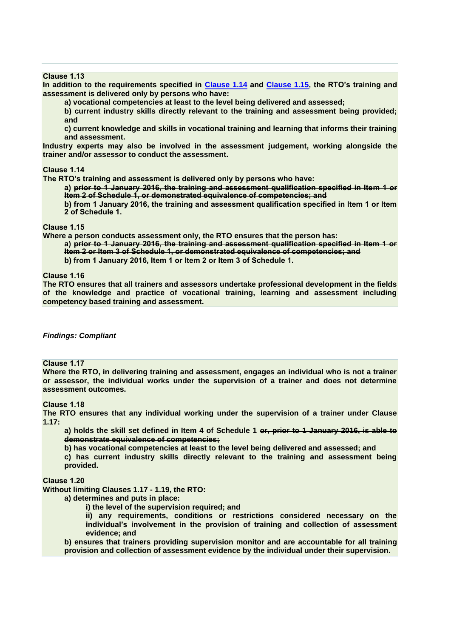## **Clause 1.13**

**In addition to the requirements specified in Clause 1.14 and Clause 1.15, the RTO's training and assessment is delivered only by persons who have:** 

**a) vocational competencies at least to the level being delivered and assessed;**

**b) current industry skills directly relevant to the training and assessment being provided; and**

**c) current knowledge and skills in vocational training and learning that informs their training and assessment.**

**Industry experts may also be involved in the assessment judgement, working alongside the trainer and/or assessor to conduct the assessment.**

#### **Clause 1.14**

**The RTO's training and assessment is delivered only by persons who have:**

**a) prior to 1 January 2016, the training and assessment qualification specified in Item 1 or Item 2 of Schedule 1, or demonstrated equivalence of competencies; and**

**b) from 1 January 2016, the training and assessment qualification specified in Item 1 or Item 2 of Schedule 1.**

#### **Clause 1.15**

**Where a person conducts assessment only, the RTO ensures that the person has:**

**a) prior to 1 January 2016, the training and assessment qualification specified in Item 1 or Item 2 or Item 3 of Schedule 1, or demonstrated equivalence of competencies; and**

**b) from 1 January 2016, Item 1 or Item 2 or Item 3 of Schedule 1.**

**Clause 1.16**

**The RTO ensures that all trainers and assessors undertake professional development in the fields of the knowledge and practice of vocational training, learning and assessment including competency based training and assessment.**

#### *Findings: Compliant*

## **Clause 1.17**

**Where the RTO, in delivering training and assessment, engages an individual who is not a trainer or assessor, the individual works under the supervision of a trainer and does not determine assessment outcomes.**

#### **Clause 1.18**

**The RTO ensures that any individual working under the supervision of a trainer under Clause 1.17:**

**a) holds the skill set defined in Item 4 of Schedule 1 or, prior to 1 January 2016, is able to demonstrate equivalence of competencies;**

**b) has vocational competencies at least to the level being delivered and assessed; and** 

**c) has current industry skills directly relevant to the training and assessment being provided.**

**Clause 1.20**

**Without limiting Clauses 1.17 - 1.19, the RTO:** 

**a) determines and puts in place:** 

**i) the level of the supervision required; and**

**ii) any requirements, conditions or restrictions considered necessary on the individual's involvement in the provision of training and collection of assessment evidence; and**

**b) ensures that trainers providing supervision monitor and are accountable for all training provision and collection of assessment evidence by the individual under their supervision.**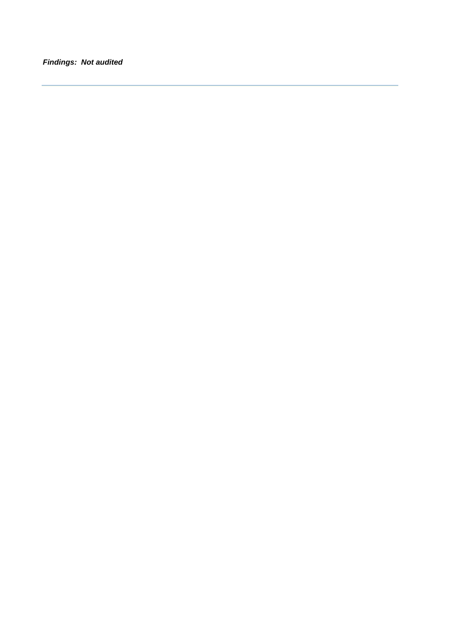*Findings: Not audited*